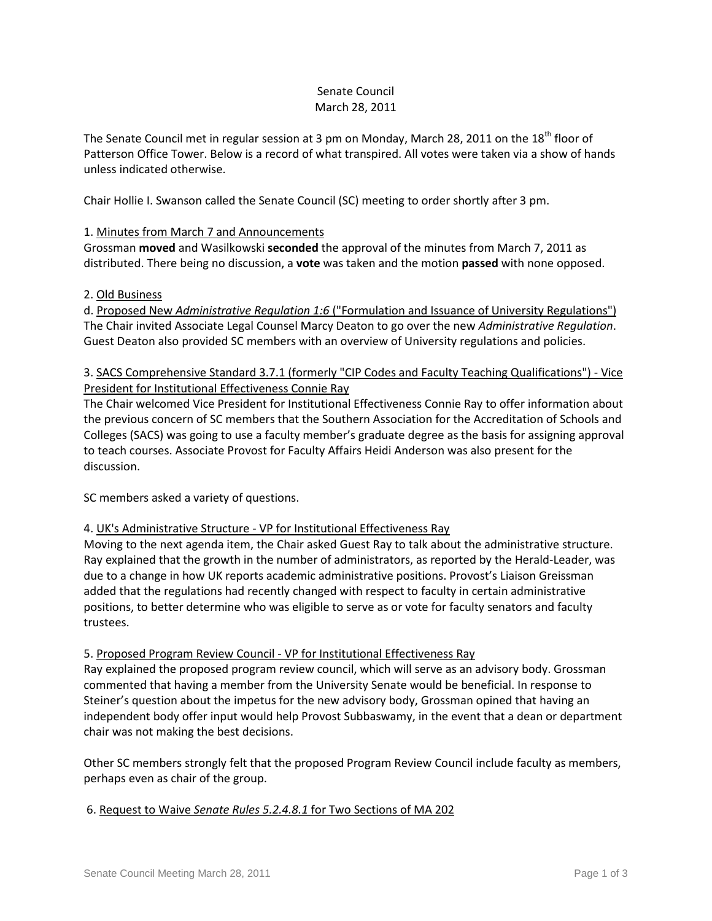## Senate Council March 28, 2011

The Senate Council met in regular session at 3 pm on Monday, March 28, 2011 on the 18<sup>th</sup> floor of Patterson Office Tower. Below is a record of what transpired. All votes were taken via a show of hands unless indicated otherwise.

Chair Hollie I. Swanson called the Senate Council (SC) meeting to order shortly after 3 pm.

# 1. Minutes from March 7 and Announcements

Grossman **moved** and Wasilkowski **seconded** the approval of the minutes from March 7, 2011 as distributed. There being no discussion, a **vote** was taken and the motion **passed** with none opposed.

## 2. Old Business

d. Proposed New *Administrative Regulation 1:6* ("Formulation and Issuance of University Regulations") The Chair invited Associate Legal Counsel Marcy Deaton to go over the new *Administrative Regulation*. Guest Deaton also provided SC members with an overview of University regulations and policies.

# 3. SACS Comprehensive Standard 3.7.1 (formerly "CIP Codes and Faculty Teaching Qualifications") - Vice President for Institutional Effectiveness Connie Ray

The Chair welcomed Vice President for Institutional Effectiveness Connie Ray to offer information about the previous concern of SC members that the Southern Association for the Accreditation of Schools and Colleges (SACS) was going to use a faculty member's graduate degree as the basis for assigning approval to teach courses. Associate Provost for Faculty Affairs Heidi Anderson was also present for the discussion.

SC members asked a variety of questions.

# 4. UK's Administrative Structure - VP for Institutional Effectiveness Ray

Moving to the next agenda item, the Chair asked Guest Ray to talk about the administrative structure. Ray explained that the growth in the number of administrators, as reported by the Herald-Leader, was due to a change in how UK reports academic administrative positions. Provost's Liaison Greissman added that the regulations had recently changed with respect to faculty in certain administrative positions, to better determine who was eligible to serve as or vote for faculty senators and faculty trustees.

## 5. Proposed Program Review Council - VP for Institutional Effectiveness Ray

Ray explained the proposed program review council, which will serve as an advisory body. Grossman commented that having a member from the University Senate would be beneficial. In response to Steiner's question about the impetus for the new advisory body, Grossman opined that having an independent body offer input would help Provost Subbaswamy, in the event that a dean or department chair was not making the best decisions.

Other SC members strongly felt that the proposed Program Review Council include faculty as members, perhaps even as chair of the group.

## 6. Request to Waive *Senate Rules 5.2.4.8.1* for Two Sections of MA 202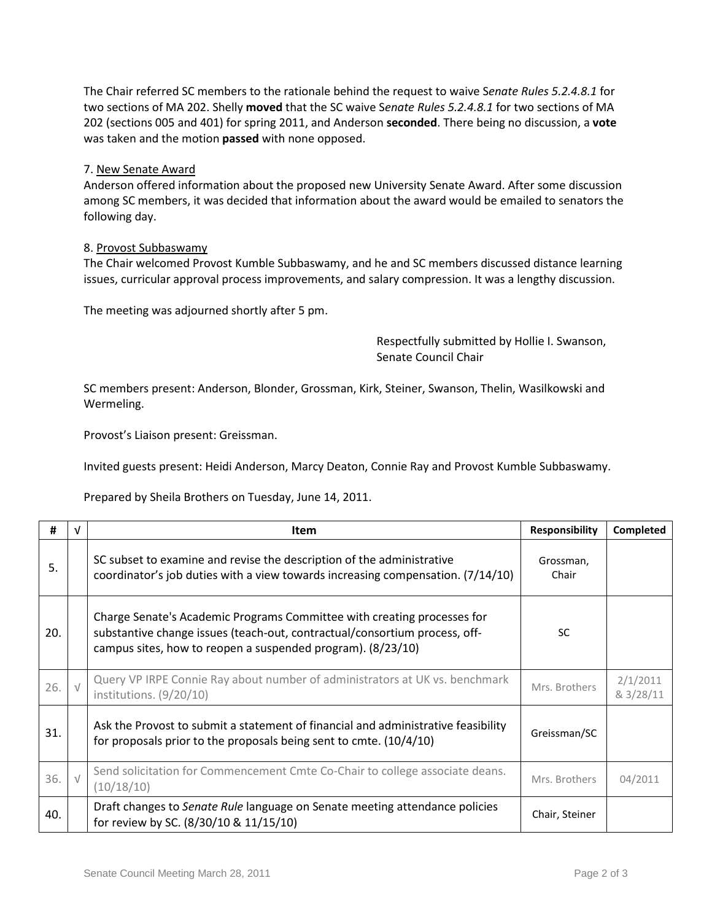The Chair referred SC members to the rationale behind the request to waive S*enate Rules 5.2.4.8.1* for two sections of MA 202. Shelly **moved** that the SC waive S*enate Rules 5.2.4.8.1* for two sections of MA 202 (sections 005 and 401) for spring 2011, and Anderson **seconded**. There being no discussion, a **vote** was taken and the motion **passed** with none opposed.

### 7. New Senate Award

Anderson offered information about the proposed new University Senate Award. After some discussion among SC members, it was decided that information about the award would be emailed to senators the following day.

#### 8. Provost Subbaswamy

The Chair welcomed Provost Kumble Subbaswamy, and he and SC members discussed distance learning issues, curricular approval process improvements, and salary compression. It was a lengthy discussion.

The meeting was adjourned shortly after 5 pm.

Respectfully submitted by Hollie I. Swanson, Senate Council Chair

SC members present: Anderson, Blonder, Grossman, Kirk, Steiner, Swanson, Thelin, Wasilkowski and Wermeling.

Provost's Liaison present: Greissman.

Invited guests present: Heidi Anderson, Marcy Deaton, Connie Ray and Provost Kumble Subbaswamy.

Prepared by Sheila Brothers on Tuesday, June 14, 2011.

| #   | v          | <b>Item</b>                                                                                                                                                                                                          | <b>Responsibility</b> | <b>Completed</b>      |
|-----|------------|----------------------------------------------------------------------------------------------------------------------------------------------------------------------------------------------------------------------|-----------------------|-----------------------|
| 5.  |            | SC subset to examine and revise the description of the administrative<br>coordinator's job duties with a view towards increasing compensation. (7/14/10)                                                             | Grossman,<br>Chair    |                       |
| 20. |            | Charge Senate's Academic Programs Committee with creating processes for<br>substantive change issues (teach-out, contractual/consortium process, off-<br>campus sites, how to reopen a suspended program). (8/23/10) | <b>SC</b>             |                       |
| 26. | $\sqrt{ }$ | Query VP IRPE Connie Ray about number of administrators at UK vs. benchmark<br>institutions. (9/20/10)                                                                                                               | Mrs. Brothers         | 2/1/2011<br>& 3/28/11 |
| 31. |            | Ask the Provost to submit a statement of financial and administrative feasibility<br>for proposals prior to the proposals being sent to cmte. $(10/4/10)$                                                            | Greissman/SC          |                       |
| 36. | $\sqrt{ }$ | Send solicitation for Commencement Cmte Co-Chair to college associate deans.<br>(10/18/10)                                                                                                                           | Mrs. Brothers         | 04/2011               |
| 40. |            | Draft changes to Senate Rule language on Senate meeting attendance policies<br>for review by SC. (8/30/10 & 11/15/10)                                                                                                | Chair, Steiner        |                       |